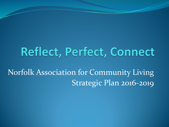## Reflect, Perfect, Connect

Norfolk Association for Community Living Strategic Plan 2016-2019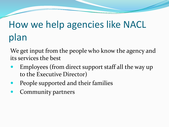# How we help agencies like NACL plan

We get input from the people who know the agency and its services the best

- Employees (from direct support staff all the way up to the Executive Director)
- People supported and their families
- Community partners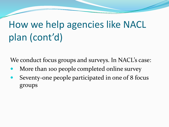# How we help agencies like NACL plan (cont'd)

We conduct focus groups and surveys. In NACL's case:

- More than 100 people completed online survey
- Seventy-one people participated in one of 8 focus groups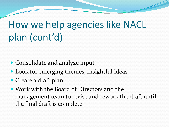# How we help agencies like NACL plan (cont'd)

- Consolidate and analyze input
- Look for emerging themes, insightful ideas
- Create a draft plan
- Work with the Board of Directors and the management team to revise and rework the draft until the final draft is complete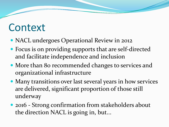#### Context

- NACL undergoes Operational Review in 2012
- Focus is on providing supports that are self-directed and facilitate independence and inclusion
- More than 80 recommended changes to services and organizational infrastructure
- Many transitions over last several years in how services are delivered, significant proportion of those still underway
- 2016 Strong confirmation from stakeholders about the direction NACL is going in, but...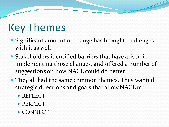## Key Themes

- Significant amount of change has brought challenges with it as well
- Stakeholders identified barriers that have arisen in implementing those changes, and offered a number of suggestions on how NACL could do better
- They all had the same common themes. They wanted strategic directions and goals that allow NACL to:
	- REFLECT
	- PERFECT
	- CONNECT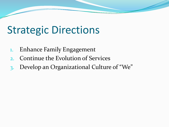# Strategic Directions

- 1. Enhance Family Engagement
- 2. Continue the Evolution of Services
- 3. Develop an Organizational Culture of "We"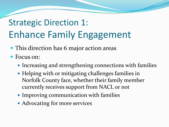#### Strategic Direction 1: Enhance Family Engagement

- This direction has 6 major action areas
- Focus on:
	- Increasing and strengthening connections with families
	- Helping with or mitigating challenges families in Norfolk County face, whether their family member currently receives support from NACL or not
	- Improving communication with families
	- Advocating for more services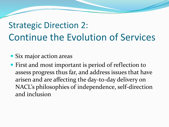#### Strategic Direction 2: Continue the Evolution of Services

- Six major action areas
- First and most important is period of reflection to assess progress thus far, and address issues that have arisen and are affecting the day-to-day delivery on NACL's philosophies of independence, self-direction and inclusion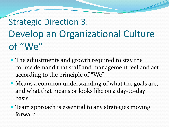# Strategic Direction 3: Develop an Organizational Culture of "We"

- The adjustments and growth required to stay the course demand that staff and management feel and act according to the principle of "We"
- Means a common understanding of what the goals are, and what that means or looks like on a day-to-day basis
- Team approach is essential to any strategies moving forward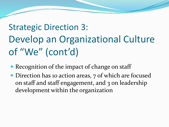#### Strategic Direction 3: Develop an Organizational Culture of "We" (cont'd)

- Recognition of the impact of change on staff
- Direction has 10 action areas, 7 of which are focused on staff and staff engagement, and 3 on leadership development within the organization